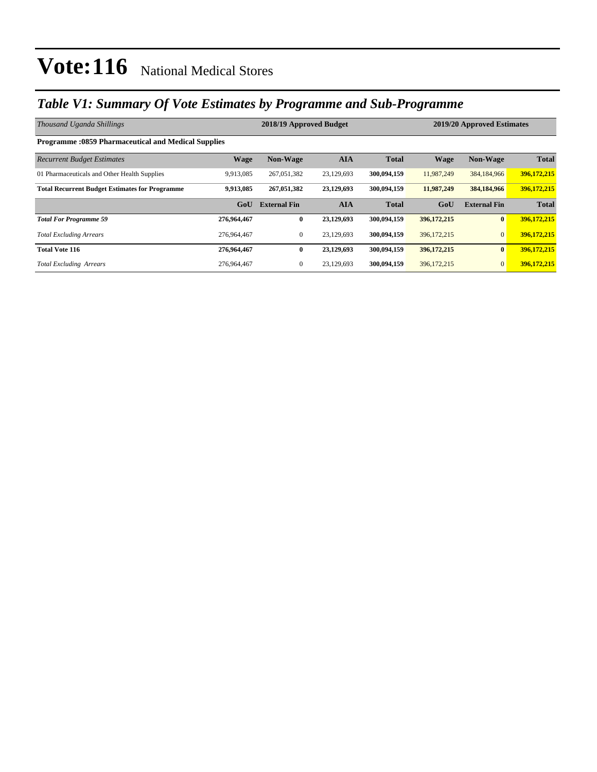### *Table V1: Summary Of Vote Estimates by Programme and Sub-Programme*

| Thousand Uganda Shillings                                  |             | 2018/19 Approved Budget | 2019/20 Approved Estimates |              |             |                     |              |  |  |  |  |  |
|------------------------------------------------------------|-------------|-------------------------|----------------------------|--------------|-------------|---------------------|--------------|--|--|--|--|--|
| <b>Programme: 0859 Pharmaceutical and Medical Supplies</b> |             |                         |                            |              |             |                     |              |  |  |  |  |  |
| <b>Recurrent Budget Estimates</b>                          | <b>Wage</b> | <b>Non-Wage</b>         | <b>AIA</b>                 | <b>Total</b> | <b>Wage</b> | <b>Non-Wage</b>     | <b>Total</b> |  |  |  |  |  |
| 01 Pharmaceuticals and Other Health Supplies               | 9,913,085   | 267,051,382             | 23,129,693                 | 300.094.159  | 11,987,249  | 384,184,966         | 396,172,215  |  |  |  |  |  |
| <b>Total Recurrent Budget Estimates for Programme</b>      | 9,913,085   | 267,051,382             | 23,129,693                 | 300,094,159  | 11,987,249  | 384,184,966         | 396,172,215  |  |  |  |  |  |
|                                                            | GoU         | <b>External Fin</b>     | <b>AIA</b>                 | <b>Total</b> | GoU         | <b>External Fin</b> | <b>Total</b> |  |  |  |  |  |
| <b>Total For Programme 59</b>                              | 276,964,467 | $\bf{0}$                | 23,129,693                 | 300,094,159  | 396,172,215 | $\bf{0}$            | 396,172,215  |  |  |  |  |  |
| <b>Total Excluding Arrears</b>                             | 276,964,467 | $\overline{0}$          | 23,129,693                 | 300,094,159  | 396,172,215 | $\overline{0}$      | 396,172,215  |  |  |  |  |  |
| <b>Total Vote 116</b>                                      | 276,964,467 | $\bf{0}$                | 23,129,693                 | 300,094,159  | 396,172,215 | $\bf{0}$            | 396,172,215  |  |  |  |  |  |
| <b>Total Excluding Arrears</b>                             | 276,964,467 | $\overline{0}$          | 23,129,693                 | 300,094,159  | 396,172,215 | $\overline{0}$      | 396,172,215  |  |  |  |  |  |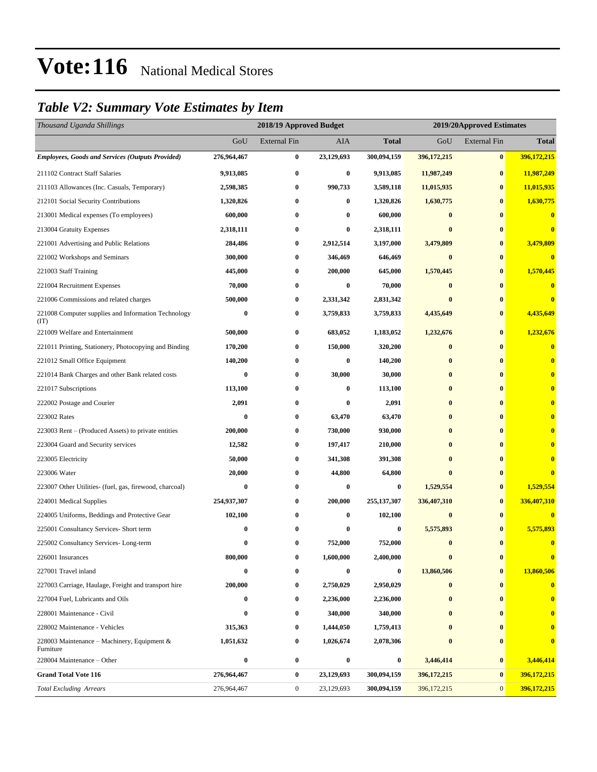### *Table V2: Summary Vote Estimates by Item*

| Thousand Uganda Shillings                                   | 2018/19 Approved Budget |                     |            |                  | 2019/20Approved Estimates |                     |                         |  |
|-------------------------------------------------------------|-------------------------|---------------------|------------|------------------|---------------------------|---------------------|-------------------------|--|
|                                                             | GoU                     | <b>External Fin</b> | AIA        | <b>Total</b>     | GoU                       | <b>External Fin</b> | <b>Total</b>            |  |
| <b>Employees, Goods and Services (Outputs Provided)</b>     | 276,964,467             | $\bf{0}$            | 23,129,693 | 300,094,159      | 396, 172, 215             | $\bf{0}$            | 396,172,215             |  |
| 211102 Contract Staff Salaries                              | 9,913,085               | $\bf{0}$            | $\bf{0}$   | 9,913,085        | 11,987,249                | $\bf{0}$            | 11,987,249              |  |
| 211103 Allowances (Inc. Casuals, Temporary)                 | 2,598,385               | $\bf{0}$            | 990,733    | 3,589,118        | 11,015,935                | $\bf{0}$            | 11,015,935              |  |
| 212101 Social Security Contributions                        | 1,320,826               | $\bf{0}$            | 0          | 1,320,826        | 1,630,775                 | $\bf{0}$            | 1,630,775               |  |
| 213001 Medical expenses (To employees)                      | 600,000                 | $\bf{0}$            | $\bf{0}$   | 600,000          | $\bf{0}$                  | $\bf{0}$            | $\bf{0}$                |  |
| 213004 Gratuity Expenses                                    | 2,318,111               | $\bf{0}$            | 0          | 2,318,111        | $\bf{0}$                  | $\bf{0}$            | $\mathbf{0}$            |  |
| 221001 Advertising and Public Relations                     | 284,486                 | $\bf{0}$            | 2,912,514  | 3,197,000        | 3,479,809                 | $\bf{0}$            | 3,479,809               |  |
| 221002 Workshops and Seminars                               | 300,000                 | $\bf{0}$            | 346,469    | 646,469          | $\bf{0}$                  | $\bf{0}$            | $\bf{0}$                |  |
| 221003 Staff Training                                       | 445,000                 | $\bf{0}$            | 200,000    | 645,000          | 1,570,445                 | $\bf{0}$            | 1,570,445               |  |
| 221004 Recruitment Expenses                                 | 70,000                  | $\bf{0}$            | 0          | 70,000           | $\bf{0}$                  | $\bf{0}$            | $\bf{0}$                |  |
| 221006 Commissions and related charges                      | 500,000                 | $\bf{0}$            | 2,331,342  | 2,831,342        | $\bf{0}$                  | $\bf{0}$            | $\mathbf{0}$            |  |
| 221008 Computer supplies and Information Technology<br>(TT) | 0                       | $\bf{0}$            | 3,759,833  | 3,759,833        | 4,435,649                 | $\bf{0}$            | 4,435,649               |  |
| 221009 Welfare and Entertainment                            | 500,000                 | $\bf{0}$            | 683,052    | 1,183,052        | 1,232,676                 | $\bf{0}$            | 1,232,676               |  |
| 221011 Printing, Stationery, Photocopying and Binding       | 170,200                 | $\bf{0}$            | 150,000    | 320,200          | $\bf{0}$                  | $\bf{0}$            | $\mathbf{0}$            |  |
| 221012 Small Office Equipment                               | 140,200                 | $\bf{0}$            | 0          | 140,200          | $\bf{0}$                  | $\bf{0}$            | $\mathbf{0}$            |  |
| 221014 Bank Charges and other Bank related costs            | 0                       | $\bf{0}$            | 30,000     | 30,000           | $\bf{0}$                  | $\bf{0}$            |                         |  |
| 221017 Subscriptions                                        | 113,100                 | $\bf{0}$            | $\bf{0}$   | 113,100          | $\bf{0}$                  | $\bf{0}$            |                         |  |
| 222002 Postage and Courier                                  | 2,091                   | $\bf{0}$            | $\bf{0}$   | 2,091            | $\bf{0}$                  | $\bf{0}$            |                         |  |
| 223002 Rates                                                | 0                       | $\bf{0}$            | 63,470     | 63,470           | $\bf{0}$                  | $\bf{0}$            |                         |  |
| 223003 Rent – (Produced Assets) to private entities         | 200,000                 | $\bf{0}$            | 730,000    | 930,000          | $\bf{0}$                  | $\bf{0}$            |                         |  |
| 223004 Guard and Security services                          | 12,582                  | $\bf{0}$            | 197,417    | 210,000          | $\bf{0}$                  | $\bf{0}$            |                         |  |
| 223005 Electricity                                          | 50,000                  | $\bf{0}$            | 341,308    | 391,308          | $\bf{0}$                  | $\bf{0}$            |                         |  |
| 223006 Water                                                | 20,000                  | $\bf{0}$            | 44,800     | 64,800           | $\bf{0}$                  | $\bf{0}$            |                         |  |
| 223007 Other Utilities- (fuel, gas, firewood, charcoal)     | 0                       | $\bf{0}$            | 0          | 0                | 1,529,554                 | $\bf{0}$            | 1,529,554               |  |
| 224001 Medical Supplies                                     | 254,937,307             | $\bf{0}$            | 200,000    | 255, 137, 307    | 336,407,310               | $\bf{0}$            | 336,407,310             |  |
| 224005 Uniforms, Beddings and Protective Gear               | 102,100                 | $\bf{0}$            | $\bf{0}$   | 102,100          | $\bf{0}$                  | $\bf{0}$            | $\bf{0}$                |  |
| 225001 Consultancy Services- Short term                     | 0                       | $\bf{0}$            | 0          | 0                | 5,575,893                 | $\bf{0}$            | 5,575,893               |  |
| 225002 Consultancy Services-Long-term                       | 0                       | $\bf{0}$            | 752,000    | 752,000          | $\bf{0}$                  | $\bf{0}$            | $\overline{\mathbf{0}}$ |  |
| 226001 Insurances                                           | 800,000                 | $\bf{0}$            | 1,600,000  | 2,400,000        | $\bf{0}$                  | $\bf{0}$            |                         |  |
| 227001 Travel inland                                        | $\bf{0}$                | $\bf{0}$            | 0          | $\boldsymbol{0}$ | 13,860,506                | $\bf{0}$            | 13,860,506              |  |
| 227003 Carriage, Haulage, Freight and transport hire        | 200,000                 | $\bf{0}$            | 2,750,029  | 2,950,029        | $\bf{0}$                  | $\bf{0}$            | $\bf{0}$                |  |
| 227004 Fuel, Lubricants and Oils                            | 0                       | $\bf{0}$            | 2,236,000  | 2,236,000        | $\bf{0}$                  | $\bf{0}$            | $\bf{0}$                |  |
| 228001 Maintenance - Civil                                  | 0                       | $\bf{0}$            | 340,000    | 340,000          | $\bf{0}$                  | $\bf{0}$            | $\bf{0}$                |  |
| 228002 Maintenance - Vehicles                               | 315,363                 | $\bf{0}$            | 1,444,050  | 1,759,413        | $\bf{0}$                  | $\bf{0}$            |                         |  |
| 228003 Maintenance – Machinery, Equipment $\&$<br>Furniture | 1,051,632               | $\bf{0}$            | 1,026,674  | 2,078,306        | $\bf{0}$                  | $\bf{0}$            | $\bf{0}$                |  |
| 228004 Maintenance – Other                                  | 0                       | $\bf{0}$            | $\bf{0}$   | 0                | 3,446,414                 | $\bf{0}$            | 3,446,414               |  |
| <b>Grand Total Vote 116</b>                                 | 276,964,467             | $\bf{0}$            | 23,129,693 | 300,094,159      | 396, 172, 215             | $\bf{0}$            | 396,172,215             |  |
| <b>Total Excluding Arrears</b>                              | 276,964,467             | $\boldsymbol{0}$    | 23,129,693 | 300,094,159      | 396, 172, 215             | $\mathbf{0}$        | 396,172,215             |  |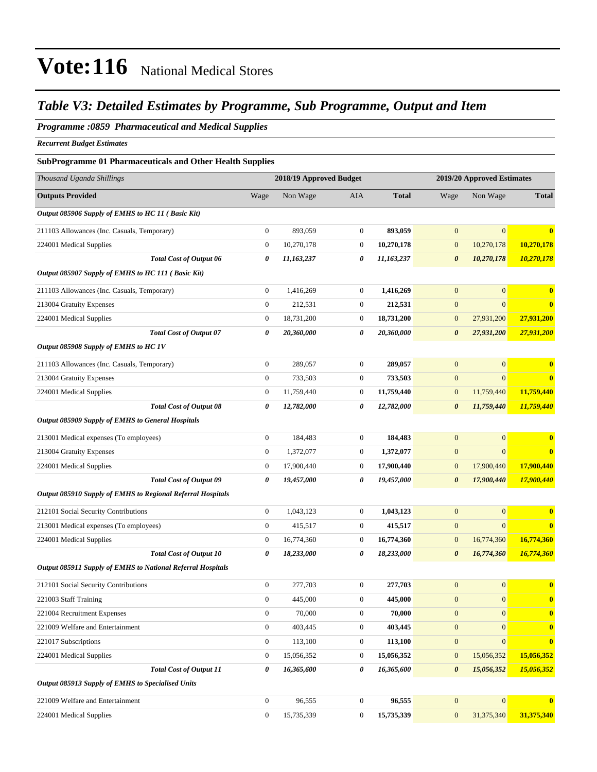### *Table V3: Detailed Estimates by Programme, Sub Programme, Output and Item*

### *Programme :0859 Pharmaceutical and Medical Supplies*

*Recurrent Budget Estimates*

#### **SubProgramme 01 Pharmaceuticals and Other Health Supplies**

| Thousand Uganda Shillings                                          | 2018/19 Approved Budget |            |                  |              | 2019/20 Approved Estimates |                  |                         |
|--------------------------------------------------------------------|-------------------------|------------|------------------|--------------|----------------------------|------------------|-------------------------|
| <b>Outputs Provided</b>                                            | Wage                    | Non Wage   | AIA              | <b>Total</b> | Wage                       | Non Wage         | <b>Total</b>            |
| Output 085906 Supply of EMHS to HC 11 (Basic Kit)                  |                         |            |                  |              |                            |                  |                         |
| 211103 Allowances (Inc. Casuals, Temporary)                        | $\boldsymbol{0}$        | 893,059    | $\boldsymbol{0}$ | 893,059      | $\mathbf{0}$               | $\overline{0}$   | $\bf{0}$                |
| 224001 Medical Supplies                                            | $\mathbf{0}$            | 10,270,178 | 0                | 10,270,178   | $\mathbf{0}$               | 10,270,178       | 10,270,178              |
| <b>Total Cost of Output 06</b>                                     | 0                       | 11,163,237 | 0                | 11,163,237   | $\boldsymbol{\theta}$      | 10,270,178       | 10,270,178              |
| Output 085907 Supply of EMHS to HC 111 (Basic Kit)                 |                         |            |                  |              |                            |                  |                         |
| 211103 Allowances (Inc. Casuals, Temporary)                        | $\mathbf{0}$            | 1,416,269  | $\boldsymbol{0}$ | 1,416,269    | $\boldsymbol{0}$           | $\mathbf{0}$     | $\bf{0}$                |
| 213004 Gratuity Expenses                                           | $\boldsymbol{0}$        | 212,531    | $\boldsymbol{0}$ | 212,531      | $\boldsymbol{0}$           | $\overline{0}$   | $\bf{0}$                |
| 224001 Medical Supplies                                            | $\mathbf{0}$            | 18,731,200 | 0                | 18,731,200   | $\mathbf{0}$               | 27,931,200       | 27,931,200              |
| <b>Total Cost of Output 07</b>                                     | 0                       | 20,360,000 | 0                | 20,360,000   | $\boldsymbol{\theta}$      | 27,931,200       | 27,931,200              |
| Output 085908 Supply of EMHS to HC 1V                              |                         |            |                  |              |                            |                  |                         |
| 211103 Allowances (Inc. Casuals, Temporary)                        | $\boldsymbol{0}$        | 289,057    | $\boldsymbol{0}$ | 289,057      | $\mathbf{0}$               | $\mathbf{0}$     | $\bf{0}$                |
| 213004 Gratuity Expenses                                           | $\boldsymbol{0}$        | 733,503    | $\boldsymbol{0}$ | 733,503      | $\mathbf{0}$               | $\mathbf{0}$     | $\bf{0}$                |
| 224001 Medical Supplies                                            | $\boldsymbol{0}$        | 11,759,440 | 0                | 11,759,440   | $\boldsymbol{0}$           | 11,759,440       | 11,759,440              |
| <b>Total Cost of Output 08</b>                                     | 0                       | 12,782,000 | 0                | 12,782,000   | $\boldsymbol{\theta}$      | 11,759,440       | 11,759,440              |
| Output 085909 Supply of EMHS to General Hospitals                  |                         |            |                  |              |                            |                  |                         |
| 213001 Medical expenses (To employees)                             | $\boldsymbol{0}$        | 184,483    | $\boldsymbol{0}$ | 184,483      | $\boldsymbol{0}$           | $\mathbf{0}$     | $\bf{0}$                |
| 213004 Gratuity Expenses                                           | $\boldsymbol{0}$        | 1,372,077  | $\boldsymbol{0}$ | 1,372,077    | $\mathbf{0}$               | $\mathbf{0}$     | $\bf{0}$                |
| 224001 Medical Supplies                                            | $\mathbf{0}$            | 17,900,440 | 0                | 17,900,440   | $\mathbf{0}$               | 17,900,440       | 17,900,440              |
| <b>Total Cost of Output 09</b>                                     | 0                       | 19,457,000 | 0                | 19,457,000   | $\boldsymbol{\theta}$      | 17,900,440       | 17,900,440              |
| <b>Output 085910 Supply of EMHS to Regional Referral Hospitals</b> |                         |            |                  |              |                            |                  |                         |
| 212101 Social Security Contributions                               | $\boldsymbol{0}$        | 1,043,123  | $\boldsymbol{0}$ | 1,043,123    | $\mathbf{0}$               | $\overline{0}$   | $\bf{0}$                |
| 213001 Medical expenses (To employees)                             | $\boldsymbol{0}$        | 415,517    | 0                | 415,517      | $\mathbf{0}$               | $\mathbf{0}$     | $\overline{\mathbf{0}}$ |
| 224001 Medical Supplies                                            | $\boldsymbol{0}$        | 16,774,360 | 0                | 16,774,360   | $\mathbf{0}$               | 16,774,360       | 16,774,360              |
| <b>Total Cost of Output 10</b>                                     | 0                       | 18,233,000 | 0                | 18,233,000   | $\boldsymbol{\theta}$      | 16,774,360       | 16,774,360              |
| Output 085911 Supply of EMHS to National Referral Hospitals        |                         |            |                  |              |                            |                  |                         |
| 212101 Social Security Contributions                               | $\boldsymbol{0}$        | 277,703    | $\boldsymbol{0}$ | 277,703      | $\boldsymbol{0}$           | $\overline{0}$   | $\bf{0}$                |
| 221003 Staff Training                                              | $\mathbf{0}$            | 445,000    | $\overline{0}$   | 445,000      | $\mathbf{0}$               | $\mathbf{0}$     | $\bf{0}$                |
| 221004 Recruitment Expenses                                        | $\mathbf{0}$            | 70,000     | $\boldsymbol{0}$ | 70,000       | $\mathbf{0}$               | $\boldsymbol{0}$ | $\bf{0}$                |
| 221009 Welfare and Entertainment                                   | $\mathbf{0}$            | 403,445    | $\boldsymbol{0}$ | 403,445      | $\mathbf{0}$               | $\overline{0}$   | $\bf{0}$                |
| 221017 Subscriptions                                               | $\mathbf{0}$            | 113,100    | $\boldsymbol{0}$ | 113,100      | $\boldsymbol{0}$           | $\mathbf{0}$     | $\bf{0}$                |
| 224001 Medical Supplies                                            | $\boldsymbol{0}$        | 15,056,352 | $\boldsymbol{0}$ | 15,056,352   | $\boldsymbol{0}$           | 15,056,352       | 15,056,352              |
| <b>Total Cost of Output 11</b>                                     | 0                       | 16,365,600 | 0                | 16,365,600   | $\boldsymbol{\theta}$      | 15,056,352       | 15,056,352              |
| Output 085913 Supply of EMHS to Specialised Units                  |                         |            |                  |              |                            |                  |                         |
| 221009 Welfare and Entertainment                                   | $\mathbf{0}$            | 96,555     | $\boldsymbol{0}$ | 96,555       | $\boldsymbol{0}$           | $\boldsymbol{0}$ | $\bf{0}$                |
| 224001 Medical Supplies                                            | $\boldsymbol{0}$        | 15,735,339 | $\boldsymbol{0}$ | 15,735,339   | $\mathbf{0}$               | 31,375,340       | 31,375,340              |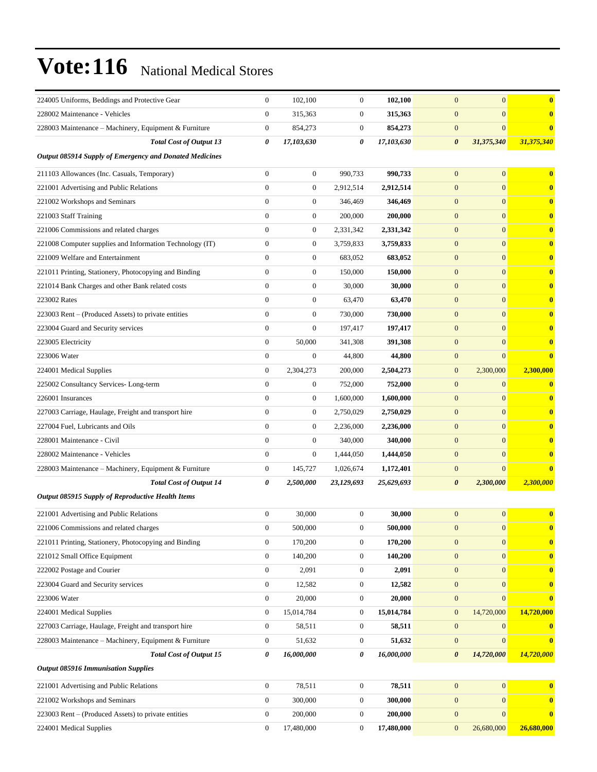| 224005 Uniforms, Beddings and Protective Gear            | $\boldsymbol{0}$ | 102,100          | $\boldsymbol{0}$ | 102,100    | $\mathbf{0}$<br>$\overline{0}$      | $\bf{0}$                |
|----------------------------------------------------------|------------------|------------------|------------------|------------|-------------------------------------|-------------------------|
| 228002 Maintenance - Vehicles                            | $\boldsymbol{0}$ | 315,363          | $\boldsymbol{0}$ | 315,363    | $\boldsymbol{0}$<br>$\overline{0}$  | $\bf{0}$                |
| 228003 Maintenance – Machinery, Equipment & Furniture    | $\boldsymbol{0}$ | 854,273          | $\boldsymbol{0}$ | 854,273    | $\boldsymbol{0}$<br>$\overline{0}$  | $\bf{0}$                |
| <b>Total Cost of Output 13</b>                           | 0                | 17,103,630       | 0                | 17,103,630 | $\boldsymbol{\theta}$<br>31,375,340 | 31,375,340              |
| Output 085914 Supply of Emergency and Donated Medicines  |                  |                  |                  |            |                                     |                         |
| 211103 Allowances (Inc. Casuals, Temporary)              | $\boldsymbol{0}$ | 0                | 990,733          | 990,733    | $\mathbf{0}$<br>$\overline{0}$      | $\bf{0}$                |
| 221001 Advertising and Public Relations                  | $\mathbf{0}$     | $\boldsymbol{0}$ | 2,912,514        | 2,912,514  | $\mathbf{0}$<br>$\overline{0}$      | $\bf{0}$                |
| 221002 Workshops and Seminars                            | $\mathbf{0}$     | $\boldsymbol{0}$ | 346,469          | 346,469    | $\mathbf{0}$<br>$\mathbf{0}$        | $\bf{0}$                |
| 221003 Staff Training                                    | $\mathbf{0}$     | $\boldsymbol{0}$ | 200,000          | 200,000    | $\mathbf{0}$<br>$\overline{0}$      | $\bf{0}$                |
| 221006 Commissions and related charges                   | $\mathbf{0}$     | $\boldsymbol{0}$ | 2,331,342        | 2,331,342  | $\mathbf{0}$<br>$\overline{0}$      | $\bf{0}$                |
| 221008 Computer supplies and Information Technology (IT) | $\boldsymbol{0}$ | 0                | 3,759,833        | 3,759,833  | $\overline{0}$<br>$\mathbf{0}$      | $\bf{0}$                |
| 221009 Welfare and Entertainment                         | $\boldsymbol{0}$ | $\boldsymbol{0}$ | 683,052          | 683,052    | $\mathbf{0}$<br>$\overline{0}$      | $\bf{0}$                |
| 221011 Printing, Stationery, Photocopying and Binding    | $\mathbf{0}$     | $\boldsymbol{0}$ | 150,000          | 150,000    | $\mathbf{0}$<br>$\overline{0}$      | $\bf{0}$                |
| 221014 Bank Charges and other Bank related costs         | $\mathbf{0}$     | $\boldsymbol{0}$ | 30,000           | 30,000     | $\mathbf{0}$<br>$\overline{0}$      | $\bf{0}$                |
| 223002 Rates                                             | $\mathbf{0}$     | $\boldsymbol{0}$ | 63,470           | 63,470     | $\mathbf{0}$<br>$\overline{0}$      | $\bf{0}$                |
| 223003 Rent – (Produced Assets) to private entities      | $\boldsymbol{0}$ | $\boldsymbol{0}$ | 730,000          | 730,000    | $\mathbf{0}$<br>$\overline{0}$      | $\bf{0}$                |
| 223004 Guard and Security services                       | $\boldsymbol{0}$ | $\boldsymbol{0}$ | 197,417          | 197,417    | $\mathbf{0}$<br>$\overline{0}$      | $\bf{0}$                |
| 223005 Electricity                                       | $\boldsymbol{0}$ | 50,000           | 341,308          | 391,308    | $\mathbf{0}$<br>$\mathbf{0}$        | $\bf{0}$                |
| 223006 Water                                             | $\boldsymbol{0}$ | $\boldsymbol{0}$ | 44,800           | 44,800     | $\boldsymbol{0}$<br>$\overline{0}$  | $\bf{0}$                |
| 224001 Medical Supplies                                  | $\mathbf{0}$     | 2,304,273        | 200,000          | 2,504,273  | $\mathbf{0}$<br>2,300,000           | 2,300,000               |
| 225002 Consultancy Services-Long-term                    | $\boldsymbol{0}$ | $\boldsymbol{0}$ | 752,000          | 752,000    | $\mathbf{0}$<br>$\mathbf{0}$        | $\bf{0}$                |
| 226001 Insurances                                        | $\mathbf{0}$     | $\boldsymbol{0}$ | 1,600,000        | 1,600,000  | $\mathbf{0}$<br>$\overline{0}$      | $\bf{0}$                |
| 227003 Carriage, Haulage, Freight and transport hire     | $\mathbf{0}$     | $\boldsymbol{0}$ | 2,750,029        | 2,750,029  | $\mathbf{0}$<br>$\mathbf{0}$        | $\bf{0}$                |
| 227004 Fuel, Lubricants and Oils                         | $\mathbf{0}$     | $\boldsymbol{0}$ | 2,236,000        | 2,236,000  | $\mathbf{0}$<br>$\overline{0}$      | $\bf{0}$                |
| 228001 Maintenance - Civil                               | $\mathbf{0}$     | $\boldsymbol{0}$ | 340,000          | 340,000    | $\mathbf{0}$<br>$\overline{0}$      | $\bf{0}$                |
| 228002 Maintenance - Vehicles                            | $\boldsymbol{0}$ | 0                | 1,444,050        | 1,444,050  | $\mathbf{0}$<br>$\overline{0}$      | $\bf{0}$                |
| 228003 Maintenance - Machinery, Equipment & Furniture    | $\boldsymbol{0}$ | 145,727          | 1,026,674        | 1,172,401  | $\mathbf{0}$<br>$\overline{0}$      | $\bf{0}$                |
| <b>Total Cost of Output 14</b>                           | 0                | 2,500,000        | 23,129,693       | 25,629,693 | $\boldsymbol{\theta}$<br>2,300,000  | 2,300,000               |
| Output 085915 Supply of Reproductive Health Items        |                  |                  |                  |            |                                     |                         |
| 221001 Advertising and Public Relations                  | $\boldsymbol{0}$ | 30,000           | $\boldsymbol{0}$ | 30,000     | $\mathbf{0}$<br>$\overline{0}$      | $\bf{0}$                |
| 221006 Commissions and related charges                   | $\boldsymbol{0}$ | 500,000          | $\boldsymbol{0}$ | 500,000    | $\mathbf{0}$<br>$\boldsymbol{0}$    |                         |
| 221011 Printing, Stationery, Photocopying and Binding    | $\boldsymbol{0}$ | 170,200          | $\boldsymbol{0}$ | 170,200    | $\boldsymbol{0}$<br>$\mathbf{0}$    | $\bf{0}$                |
| 221012 Small Office Equipment                            | $\boldsymbol{0}$ | 140,200          | $\boldsymbol{0}$ | 140,200    | $\mathbf{0}$<br>$\overline{0}$      | $\bf{0}$                |
| 222002 Postage and Courier                               | $\overline{0}$   | 2,091            | $\boldsymbol{0}$ | 2,091      | $\mathbf{0}$<br>$\overline{0}$      | $\bf{0}$                |
| 223004 Guard and Security services                       | $\boldsymbol{0}$ | 12,582           | 0                | 12,582     | $\boldsymbol{0}$<br>$\overline{0}$  | $\bf{0}$                |
| 223006 Water                                             | $\boldsymbol{0}$ | 20,000           | $\boldsymbol{0}$ | 20,000     | $\boldsymbol{0}$<br>$\overline{0}$  | $\bf{0}$                |
| 224001 Medical Supplies                                  | $\boldsymbol{0}$ | 15,014,784       | 0                | 15,014,784 | 14,720,000<br>$\mathbf{0}$          | 14,720,000              |
| 227003 Carriage, Haulage, Freight and transport hire     | $\boldsymbol{0}$ | 58,511           | $\boldsymbol{0}$ | 58,511     | $\boldsymbol{0}$<br>$\overline{0}$  | $\bf{0}$                |
| 228003 Maintenance - Machinery, Equipment & Furniture    | $\boldsymbol{0}$ | 51,632           | 0                | 51,632     | $\boldsymbol{0}$<br>$\mathbf{0}$    | $\bf{0}$                |
| <b>Total Cost of Output 15</b>                           | 0                | 16,000,000       | 0                | 16,000,000 | $\boldsymbol{\theta}$<br>14,720,000 | 14,720,000              |
| <b>Output 085916 Immunisation Supplies</b>               |                  |                  |                  |            |                                     |                         |
| 221001 Advertising and Public Relations                  | $\boldsymbol{0}$ | 78,511           | $\boldsymbol{0}$ | 78,511     | $\boldsymbol{0}$<br>$\overline{0}$  | $\overline{\mathbf{0}}$ |
| 221002 Workshops and Seminars                            | $\boldsymbol{0}$ | 300,000          | $\boldsymbol{0}$ | 300,000    | $\boldsymbol{0}$<br>$\mathbf{0}$    | $\bf{0}$                |
| 223003 Rent – (Produced Assets) to private entities      | $\boldsymbol{0}$ | 200,000          | $\boldsymbol{0}$ | 200,000    | $\boldsymbol{0}$<br>$\overline{0}$  | $\bf{0}$                |
| 224001 Medical Supplies                                  | $\boldsymbol{0}$ | 17,480,000       | 0                | 17,480,000 | $\mathbf{0}$<br>26,680,000          | 26,680,000              |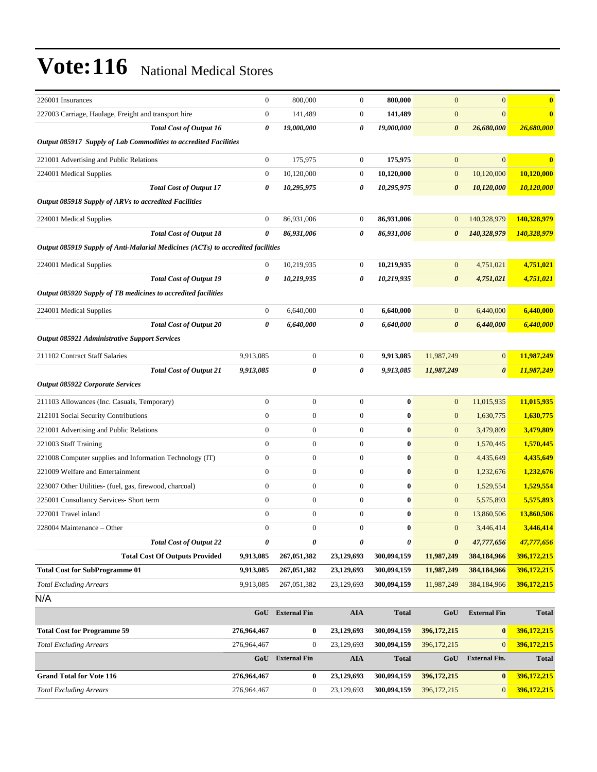| 226001 Insurances                                                               |                                       | $\mathbf{0}$     | 800,000               | $\boldsymbol{0}$ | 800,000          | $\overline{0}$        | $\mathbf{0}$          | $\bf{0}$     |
|---------------------------------------------------------------------------------|---------------------------------------|------------------|-----------------------|------------------|------------------|-----------------------|-----------------------|--------------|
| 227003 Carriage, Haulage, Freight and transport hire                            |                                       | $\mathbf{0}$     | 141,489               | $\boldsymbol{0}$ | 141,489          | $\mathbf{0}$          | $\overline{0}$        | $\bf{0}$     |
|                                                                                 | <b>Total Cost of Output 16</b>        | 0                | 19,000,000            | 0                | 19,000,000       | $\boldsymbol{\theta}$ | 26,680,000            | 26,680,000   |
| Output 085917 Supply of Lab Commodities to accredited Facilities                |                                       |                  |                       |                  |                  |                       |                       |              |
| 221001 Advertising and Public Relations                                         |                                       | $\mathbf{0}$     | 175,975               | $\boldsymbol{0}$ | 175,975          | $\mathbf{0}$          | $\overline{0}$        | 0            |
| 224001 Medical Supplies                                                         |                                       | $\boldsymbol{0}$ | 10,120,000            | $\boldsymbol{0}$ | 10,120,000       | $\mathbf{0}$          | 10,120,000            | 10,120,000   |
|                                                                                 | <b>Total Cost of Output 17</b>        | 0                | 10,295,975            | 0                | 10,295,975       | 0                     | 10,120,000            | 10,120,000   |
| Output 085918 Supply of ARVs to accredited Facilities                           |                                       |                  |                       |                  |                  |                       |                       |              |
| 224001 Medical Supplies                                                         |                                       | $\boldsymbol{0}$ | 86,931,006            | $\boldsymbol{0}$ | 86,931,006       | $\mathbf{0}$          | 140,328,979           | 140,328,979  |
|                                                                                 | <b>Total Cost of Output 18</b>        | 0                | 86,931,006            | 0                | 86,931,006       | $\boldsymbol{\theta}$ | 140,328,979           | 140,328,979  |
| Output 085919 Supply of Anti-Malarial Medicines (ACTs) to accredited facilities |                                       |                  |                       |                  |                  |                       |                       |              |
| 224001 Medical Supplies                                                         |                                       | $\boldsymbol{0}$ | 10,219,935            | $\boldsymbol{0}$ | 10,219,935       | $\boldsymbol{0}$      | 4,751,021             | 4,751,021    |
|                                                                                 | <b>Total Cost of Output 19</b>        | 0                | 10,219,935            | 0                | 10,219,935       | $\boldsymbol{\theta}$ | 4,751,021             | 4,751,021    |
| Output 085920 Supply of TB medicines to accredited facilities                   |                                       |                  |                       |                  |                  |                       |                       |              |
| 224001 Medical Supplies                                                         |                                       | $\mathbf{0}$     | 6,640,000             | $\boldsymbol{0}$ | 6,640,000        | $\mathbf{0}$          | 6,440,000             | 6,440,000    |
|                                                                                 | <b>Total Cost of Output 20</b>        | 0                | 6,640,000             | 0                | 6,640,000        | $\boldsymbol{\theta}$ | 6,440,000             |              |
| <b>Output 085921 Administrative Support Services</b>                            |                                       |                  |                       |                  |                  |                       |                       | 6,440,000    |
|                                                                                 |                                       |                  |                       |                  |                  |                       |                       |              |
| 211102 Contract Staff Salaries                                                  |                                       | 9,913,085        | $\boldsymbol{0}$      | $\boldsymbol{0}$ | 9,913,085        | 11,987,249            | $\mathbf{0}$          | 11,987,249   |
|                                                                                 | <b>Total Cost of Output 21</b>        | 9,913,085        | $\boldsymbol{\theta}$ | 0                | 9,913,085        | 11,987,249            | $\boldsymbol{\theta}$ | 11,987,249   |
| <b>Output 085922 Corporate Services</b>                                         |                                       |                  |                       |                  |                  |                       |                       |              |
| 211103 Allowances (Inc. Casuals, Temporary)                                     |                                       | $\boldsymbol{0}$ | $\boldsymbol{0}$      | $\boldsymbol{0}$ | $\boldsymbol{0}$ | $\mathbf{0}$          | 11,015,935            | 11,015,935   |
| 212101 Social Security Contributions                                            |                                       | $\overline{0}$   | $\boldsymbol{0}$      | $\boldsymbol{0}$ | $\bf{0}$         | $\mathbf{0}$          | 1,630,775             | 1,630,775    |
| 221001 Advertising and Public Relations                                         |                                       | $\overline{0}$   | $\overline{0}$        | $\boldsymbol{0}$ | $\bf{0}$         | $\mathbf{0}$          | 3,479,809             | 3,479,809    |
| 221003 Staff Training                                                           |                                       | $\mathbf{0}$     | $\mathbf{0}$          | $\boldsymbol{0}$ | $\bf{0}$         | $\mathbf{0}$          | 1,570,445             | 1,570,445    |
| 221008 Computer supplies and Information Technology (IT)                        |                                       | $\boldsymbol{0}$ | $\boldsymbol{0}$      | $\boldsymbol{0}$ | $\bf{0}$         | $\boldsymbol{0}$      | 4,435,649             | 4,435,649    |
| 221009 Welfare and Entertainment                                                |                                       | $\boldsymbol{0}$ | $\boldsymbol{0}$      | $\boldsymbol{0}$ | $\pmb{0}$        | $\mathbf{0}$          | 1,232,676             | 1,232,676    |
| 223007 Other Utilities- (fuel, gas, firewood, charcoal)                         |                                       | $\boldsymbol{0}$ | $\boldsymbol{0}$      | $\boldsymbol{0}$ | $\bf{0}$         | $\mathbf{0}$          | 1,529,554             | 1,529,554    |
| 225001 Consultancy Services- Short term                                         |                                       | $\mathbf{0}$     | $\boldsymbol{0}$      | $\boldsymbol{0}$ | $\bf{0}$         | $\boldsymbol{0}$      | 5,575,893             | 5,575,893    |
| 227001 Travel inland                                                            |                                       | $\mathbf{0}$     | $\boldsymbol{0}$      | $\boldsymbol{0}$ | $\bf{0}$         | $\mathbf{0}$          | 13,860,506            | 13,860,506   |
| 228004 Maintenance - Other                                                      |                                       | $\boldsymbol{0}$ | $\boldsymbol{0}$      | $\boldsymbol{0}$ | $\boldsymbol{0}$ | $\mathbf{0}$          | 3,446,414             | 3,446,414    |
|                                                                                 | <b>Total Cost of Output 22</b>        | 0                | 0                     | 0                | 0                | 0                     | 47,777,656            | 47,777,656   |
|                                                                                 | <b>Total Cost Of Outputs Provided</b> | 9,913,085        | 267,051,382           | 23,129,693       | 300,094,159      | 11,987,249            | 384,184,966           | 396,172,215  |
| <b>Total Cost for SubProgramme 01</b>                                           |                                       | 9,913,085        | 267,051,382           | 23,129,693       | 300,094,159      | 11,987,249            | 384,184,966           | 396,172,215  |
| <b>Total Excluding Arrears</b>                                                  |                                       | 9,913,085        | 267,051,382           | 23,129,693       | 300,094,159      | 11,987,249            | 384,184,966           | 396,172,215  |
| N/A                                                                             |                                       |                  |                       |                  |                  |                       |                       |              |
|                                                                                 |                                       |                  | GoU External Fin      | <b>AIA</b>       | <b>Total</b>     | GoU                   | <b>External Fin</b>   | <b>Total</b> |
| <b>Total Cost for Programme 59</b>                                              |                                       | 276,964,467      | 0                     | 23,129,693       | 300,094,159      | 396, 172, 215         | $\bf{0}$              | 396,172,215  |
| <b>Total Excluding Arrears</b>                                                  |                                       | 276,964,467      | $\boldsymbol{0}$      | 23,129,693       | 300,094,159      | 396, 172, 215         | $\mathbf{0}$          | 396,172,215  |
|                                                                                 |                                       | GoU              | <b>External Fin</b>   | AIA              | <b>Total</b>     | GoU                   | <b>External Fin.</b>  | Total        |
| <b>Grand Total for Vote 116</b>                                                 |                                       | 276,964,467      | $\bf{0}$              | 23,129,693       | 300,094,159      | 396, 172, 215         | $\bf{0}$              | 396,172,215  |
| <b>Total Excluding Arrears</b>                                                  |                                       | 276,964,467      | $\boldsymbol{0}$      | 23,129,693       | 300,094,159      | 396, 172, 215         | $\boldsymbol{0}$      | 396,172,215  |
|                                                                                 |                                       |                  |                       |                  |                  |                       |                       |              |